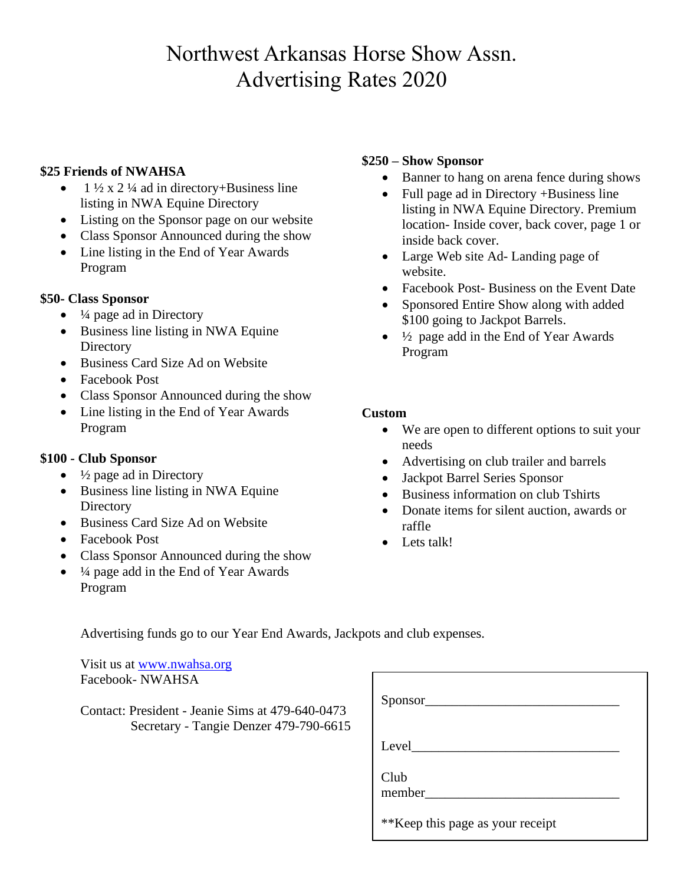# Northwest Arkansas Horse Show Assn. Advertising Rates 2020

## **\$25 Friends of NWAHSA**

- 1  $\frac{1}{2}$  x 2  $\frac{1}{4}$  ad in directory+Business line listing in NWA Equine Directory
- Listing on the Sponsor page on our website
- Class Sponsor Announced during the show
- Line listing in the End of Year Awards Program

## **\$50- Class Sponsor**

- $\bullet$   $\frac{1}{4}$  page ad in Directory
- Business line listing in NWA Equine **Directory**
- Business Card Size Ad on Website
- Facebook Post
- Class Sponsor Announced during the show
- Line listing in the End of Year Awards Program

#### **\$100 - Club Sponsor**

- $\bullet$   $\frac{1}{2}$  page ad in Directory
- Business line listing in NWA Equine **Directory**
- Business Card Size Ad on Website
- Facebook Post
- Class Sponsor Announced during the show
- $\bullet$   $\frac{1}{4}$  page add in the End of Year Awards Program

## **\$250 – Show Sponsor**

- Banner to hang on arena fence during shows
- Full page ad in Directory +Business line listing in NWA Equine Directory. Premium location- Inside cover, back cover, page 1 or inside back cover.
- Large Web site Ad- Landing page of website.
- Facebook Post-Business on the Event Date
- Sponsored Entire Show along with added \$100 going to Jackpot Barrels.
- $\frac{1}{2}$  page add in the End of Year Awards Program

## **Custom**

- We are open to different options to suit your needs
- Advertising on club trailer and barrels
- Jackpot Barrel Series Sponsor
- Business information on club Tshirts
- Donate items for silent auction, awards or raffle
- Lets talk!

Advertising funds go to our Year End Awards, Jackpots and club expenses.

Visit us at [www.nwahsa.org](http://www.nwahsa.org/) Facebook- NWAHSA

Contact: President - Jeanie Sims at 479-640-0473 Secretary - Tangie Denzer 479-790-6615

| Sponsor__                         |  |
|-----------------------------------|--|
| Level                             |  |
| Club<br>member                    |  |
| ** Keep this page as your receipt |  |